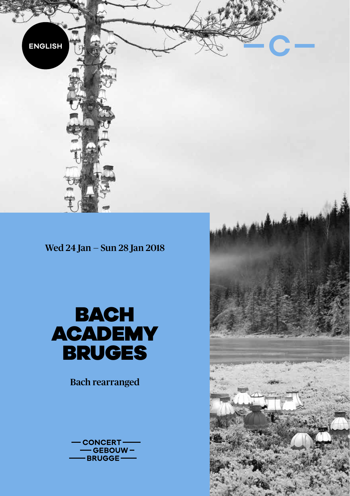

Wed 24 Jan — Sun 28 Jan 2018



Bach rearranged



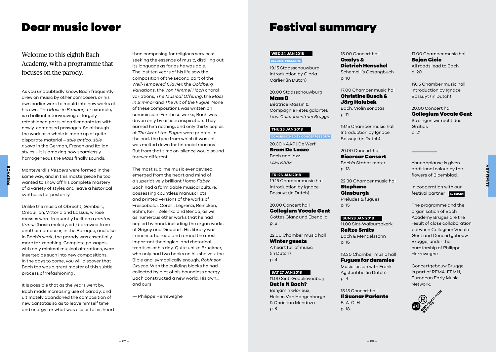### Welcome to this eighth Bach Academy, with a programme that focuses on the parody.

As you undoubtedly know, Bach frequently drew on music by other composers or his own earlier work to mould into new works of his own. The *Mass in B minor*, for example, is a brilliant interweaving of largely refashioned parts of earlier cantatas with newly-composed passages. So although the work as a whole is made up of quite disparate material – *stile antico, stile nuovo* in the German, French and Italian styles – it is amazing how seamlessly homogeneous the *Mass* finally sounds.

same way, and in this masterpiece he too wanted to show off his complete mastery of a variety of styles and leave a historical synthesis for posterity.

Monteverdi's *Vespers* were formed in the

Unlike the music of Obrecht, Gombert, Crequillon, Vittoria and Lassus, whose masses were frequently built on a *cantus firmus* (basic melody, ed.) borrowed from another composer, in the Baroque, and also in Bach's work, the parody was essentially more far-reaching. Complete passages, with only minimal musical alterations, were inserted as such into new compositions. In the days to come, you will discover that Bach too was a great master of this subtle process of 'refashioning'.

It is possible that as the years went by, Bach made increasing use of parody, and ultimately abandoned the composition of new cantatas so as to leave himself time and energy for what was closer to his heart than composing for religious services: seeking the essence of music, distilling out its language as far as he was able. The last ten years of his life saw the composition of the second part of the *Well-Tempered Clavie*r, the *Goldberg Variations*, the *Von Himmel Hoch* choral variations, *The Musical Offering*, the *Mass in B minor* and *The Art of the Fugue*. None of these compositions was written on commission. For these works, Bach was driven only by artistic inspiration. They earned him nothing, and only thirty copies of *The Art of the Fugue* were printed; in the end, the type from which it was set was melted down for financial reasons. But from that time on, silence would sound forever different.

The most sublime music ever devised emerged from the heart and mind of a superlatively brilliant *Homo Faber*. Bach had a formidable musical culture, possessing countless manuscripts and printed versions of the works of Frescobaldi, Corelli, Legrenzi, Reincken, Böhm, Kerll, Zelenka and Benda, as well as numerous other works that he had copied by hand, including the organ works of Grigny and Dieupart. His library was immense: he read and reread the most important theological and rhetorical treatises of his day. Quite unlike Bruckner, who only had two books on his shelves: the Bible and, symbolically enough, *Robinson Crusoe*. With the building blocks he had collected by dint of his boundless energy, Bach constructed a new world. His own… and ours.

— Philippe Herreweghe

### Dear music lover **Festival summary**

#### **WED 24 JAN 2018**

**BELGIAN PREMIERE**

19.15 Stadsschouwburg Introduction by Gloria Carlier (in Dutch)

#### 20.00 Stadsschouwburg Mass B

Béatrice Massin & Compagnie Fêtes galantes *i.c.w. Cultuurcentrum Brugge*

#### **THU 25 JAN 2018**

**COMMISSIONED BY CONCERTGEBOUW**

20.30 KAAP | De Werf Bram De Looze Bach and jazz *i.c.w. KAAP*

#### **FRI 26 JAN 2018**

19.15 Chamber music hall

Introduction by Ignace Bossuyt (in Dutch) 20.00 Concert hall Collegium Vocale Gent

Gottes Glanz und Ebenbild p. 6

22.00 Chamber music hall Winter guests A heart full of music (in Dutch) p. 4

#### **SAT 27 JAN 2018**

11.00 Sint-Godelieveabdij But is it Bach? Benjamin Glorieux, Heleen Van Haegenborgh & Christian Mendoza p. 8

15.00 Concert hall Oxalys & Dietrich Henschel

Schemelli's Gesangbuch p. 10

17.00 Chamber music hall Christine Busch & Jörg Halubek Bach. Violin sonatas p. 11

19.15 Chamber music hall Introduction by Ignace Bossuyt (in Dutch)

20.00 Concert hall Ricercar Consort Bach's Stabat mater p. 13

22.30 Chamber music hall

Stephane Ginsburgh Preludes & fugues

p. 15

#### **SUN 28 JAN 2018**

11.00 Sint-Walburgakerk Reitze Smits Bach & Mendelssohn p. 16

13.30 Chamber music hall Fugues for dummies

Music lesson with Frank Agsteribbe (in Dutch) p. 4

15.15 Concert hall Il Suonar Parlante  $B-A-C-H$ p. 18

17.00 Chamber music hall Bojan Cicic All roads lead to Bach p. 20

19.15 Chamber music hall Introduction by Ignace Bossuyt (in Dutch)

#### 20.00 Concert hall Collegium Vocale Gent

So singen wir recht das Gratias p. 21

Your applause is given additional colour by the flowers of Bloemblad.

**SUMMARY**

**SUMMARY** 

festival partner The programme and the

In cooperation with our

organisation of Bach Academy Bruges are the result of close collaboration between Collegium Vocale Gent and Concertgebouw Brugge, under the curatorship of Philippe Herreweghe.

Concertgebouw Brugge is part of REMA-EEMN, European Early Music Network.

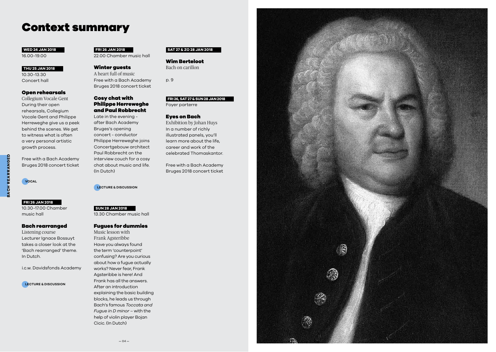### Context summary

#### **WED 24 JAN 2018** 16.00-19.00

#### **THU 25 JAN 2018**

10.30-13.30 Concert hall

#### Open rehearsals

Collegium Vocale Gent During their open rehearsals, Collegium Vocale Gent and Philippe Herreweghe give us a peek behind the scenes. We get to witness what is often a very personal artistic growth process.

Free with a Bach Academy Bruges 2018 concert ticket

**VOCAL**

**BACH REARRANGED**

**ACH REARRANGED** 

#### **FRI 26 JAN 2018**

10.30-17.00 Chamber music hall

#### Bach rearranged

Listening course Lecturer Ignace Bossuyt takes a closer look at the 'Bach rearranged' theme. In Dutch.

i.c.w. Davidsfonds Academy

#### **LECTURE & DISCUSSION**

#### **FRI 26 JAN 2018**

22.00 Chamber music hall

#### Winter guests

A heart full of music Free with a Bach Academy Bruges 2018 concert ticket

#### Cosy chat with Philippe Herreweghe and Paul Robbrecht

Late in the evening after Bach Academy Bruges's opening concert - conductor Philippe Herreweghe joins Concertgebouw architect Paul Robbrecht on the interview couch for a cosy chat about music and life. (In Dutch)

**LECTURE & DISCUSSION**

**SUN 28 JAN 2018** 13.30 Chamber music hall

#### Fugues for dummies

Music lesson with Frank Agsteribbe Have you always found the term 'counterpoint' confusing? Are you curious about how a fugue actually works? Never fear, Frank Agsteribbe is here! And Frank has all the answers. After an introduction explaining the basic building blocks, he leads us through Bach's famous *Toccata and Fugue in D minor* – with the help of violin player Bojan Cicic. (In Dutch)

#### **SAT 27 & ZO 28 JAN 2018**

Wim Berteloot Bach on carillon

p. 9

#### **FRI 26, SAT 27 & SUN 28 JAN 2018**

Foyer parterre

#### Eyes on Bach

Exhibition by Johan Huys In a number of richly illustrated panels, you'll learn more about the life, career and work of the celebrated Thomaskantor.

Free with a Bach Academy Bruges 2018 concert ticket

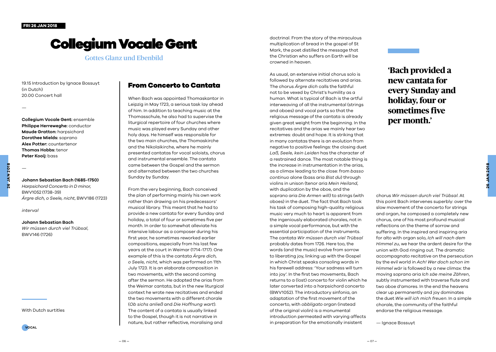## Collegium Vocale Gent

Gottes Glanz und Ebenbild

19.15 Introduction by Ignace Bossuyt (in Dutch) 20.00 Concert hall

—

**Collegium Vocale Gent:** ensemble **Philippe Herreweghe:** conductor **Maude Gratton:** harpsichord **Dorothee Mields:** soprano **Alex Potter:** countertenor **Thomas Hobbs:** tenor **Peter Kooij:** bass

#### **Johann Sebastian Bach (1685-1750)**

*Harpsichord Concerto in D minor*, BWV1052 (1738-39) *Ärgre dich, o Seele, nicht*, BWV186 (1723)

*interval* 

—

#### **Johann Sebastian Bach**

*Wir müssen durch viel Trübsal*, BWV146 (1726)

#### With Dutch surtitles

**VOCAL**

#### From Concerto to Cantata

When Bach was appointed Thomaskantor in Leipzig in May 1723, a serious task lay ahead of him. In addition to teaching music at the Thomasschule, he also had to supervise the liturgical repertoire of four churches where music was played every Sunday and other holy days. He himself was responsible for the two main churches, the Thomaskirche and the Nikolaikirche, where he mainly presented cantatas for vocal soloists, chorus and instrumental ensemble. The cantata came between the Gospel and the sermon and alternated between the two churches Sunday by Sunday.

From the very beginning, Bach conceived the plan of performing mainly his own work rather than drawing on his predecessors' musical library. This meant that he had to provide a new cantata for every Sunday and holiday, a total of four or sometimes five per month. In order to somewhat alleviate his intensive labour as a composer during his first year, he sometimes reworked earlier compositions, especially from his last few years at the court in Weimar (1714-1717). One example of this is the cantata *Ärgre dich, o Seele, nicht,* which was performed on 11th July 1723. It is an elaborate composition in two movements, with the second coming after the sermon. He adopted the arias from the Weimar cantata, but in the new liturgical context he wrote new recitatives and ended the two movements with a different chorale (*Ob sichs anließ* and *Die Hoffnung wart*). The content of a cantata is usually linked to the Gospel, though it is not narrative in nature, but rather reflective, moralising and

doctrinal. From the story of the miraculous multiplication of bread in the gospel of St Mark, the poet distilled the message that the Christian who suffers on Earth will be crowned in heaven.

As usual, an extensive initial chorus solo is followed by alternate recitatives and arias. The chorus *Ärgre dich* calls the faithful not to be vexed by Christ's humility as a human. What is typical of Bach is the artful interweaving of all the instrumental (strings and oboes) and vocal parts so that the religious message of the cantata is already given great weight from the beginning. In the recitatives and the arias we mainly hear two extremes: doubt and hope. It is striking that in many cantatas there is an evolution from negative to positive feelings: the closing duet *Laß, Seele, kein Leiden* has the character of a restrained dance. The most notable thing is the increase in instrumentation in the arias, as a climax leading to the close: from *basso continuo* alone (bass aria *Bist du*) through violins in unison (tenor aria *Mein Heiland*, with duplication by the oboe, and the soprano aria *Die Armen will)* to strings (with oboes) in the duet. The fact that Bach took his task of composing high-quality religious music very much to heart is apparent from the ingeniously elaborated chorales, not in a simple vocal performance, but with the essential participation of the instruments. The cantata *Wir müssen durch viel Trübsal* probably dates from 1726. Here too, the words (and the music) evolve from sorrow to liberating joy, linking up with the Gospel in which Christ speaks consoling words in his farewell address: 'Your sadness will turn into joy'. In the first two movements, Bach returns to a (lost) concerto for violin which he later converted into a harpsichord concerto (BWV1052). The introductory sinfonia, an adaptation of the first movement of the concerto, with *obbligato* organ (instead of the original violin) is a monumental introduction permeated with varying affects in preparation for the emotionally insistent

### **'Bach provided a new cantata for every Sunday and holiday, four or sometimes five per month.'**

chorus *Wir müssen durch viel Trübsal*. At this point Bach intervenes superbly: over the slow movement of the concerto for strings and organ, he composed a completely new chorus, one of his most profound musical reflections on the theme of sorrow and suffering. In the inspired and inspiring aria for alto with organ solo, *Ich will nach dem Himmel zu*, we hear the ardent desire for the union with God ringing out. The dramatic accompagnato recitative on the persecution by the evil world in *Ach! Wer doch schon im Himmel wär* is followed by a new climax: the moving soprano aria *Ich säe meine Zähren*, subtly instrumented with traverse flute and two oboe d'amores. In the end the heavens clear up permanently and joy dominates the duet *Wie will ich mich freuen*. In a simple chorale, the community of the faithful endorse the religious message.

— Ignace Bossuyt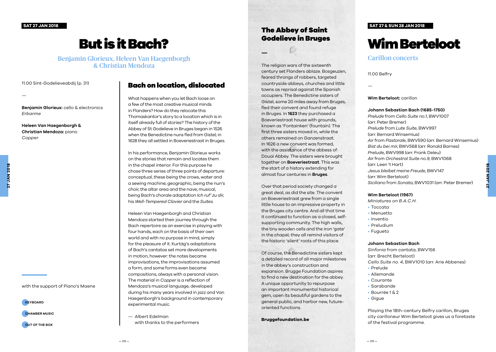**SAT 27 JAN 2018**

# But is it Bach?

Benjamin Glorieux, Heleen Van Haegenborgh & Christian Mendoza

11.00 Sint-Godelieveabdij (p. 31)

#### Bach on location, dislocated

**Benjamin Glorieux:** cello & electronics *Erbarme*

**Heleen Van Haegenborgh & Christian Mendoza:** piano *Copper*

—

when the Benedictine nuns fled from Gistel; in 1628 they all settled in Boeveriestraat in Bruges.

with the support of Piano's Maene

**KEYBOARD**

**CHAMBER MUSIC**

**OUT OF THE BOX**

#### What happens when you let Bach loose on a few of the most creative musical minds in Flanders? How do they relocate this Thomaskantor's story to a location which is in itself already full of stories? The history of the Abbey of St Godelieve in Bruges began in 1526

In his performance, Benjamin Glorieux works on the stories that remain and locates them in the chapel interior. For this purpose he chose three series of three points of departure: conceptual, these being the crows, water and a sewing machine; geographic, being the nun's choir, the altar area and the nave; musical, being Bach's chorale adaptation *Ich ruf' zu dir*, his *Well-Tempered Clavier* and the *Suites*.

Heleen Van Haegenborgh and Christian Mendoza started their journey through the Bach repertoire as an exercise in playing with four hands, each on the basis of their own world and with no purpose in mind, simply for the pleasure of it. Kurtág's adaptations of Bach's cantatas set more developments in motion, however: the notes became improvisations, the improvisations assumed a form, and some forms even became compositions, always with a personal vision. The material in *Copper* is a reflection of Mendoza's musical language, developed during his many years involved in jazz and Van Haegenborgh's background in contemporary experimental music.

— Albert Edelman with thanks to the performers

#### The Abbey of Saint Godelieve in Bruges

**—**

The religion wars of the sixteenth century set Flanders ablaze. Bosgeuzen, feared throngs of robbers, targeted countryside abbeys, churches and little towns as reprisal against the Spanish occupiers. The Benedictine sisters of Gistel, some 20 miles away from Bruges, fled their convent and found refuge in Bruges. In **1623** they purchased a Boeveriestraat house with grounds, known as 'Fontainken' (fountain). The first three sisters moved in, while the others remained on Ganzenstraat. In 1626 a new convent was formed, with the assistance of the abbess of Douai Abbey. The sisters were brought together on **Boeveriestraat**. This was the start of a history extending for almost four centuries in **Bruges**.

Over that period society changed a great deal, as did the site. The convent on Boeveriestraat grew from a single little house to an impressive property in the Bruges city centre. And all that time it continued to function as a closed, selfsupporting community. The high walls, the tiny wooden cells and the iron 'gate' in the chapel; they all remind visitors of the historic 'silent' roots of this place.

Of course, the Benedictine sisters kept a detailed record of all major milestones in the abbey's construction and expansion. Brugge Foundation aspires to find a new destination for the abbey. A unique opportunity to repurpose an important monumental historical gem, open its beautiful gardens to the general public, and harbor new, futureoriented functions.

**Bruggefoundation.be**

#### **SAT 27 & SUN 28 JAN 2018**

# Wim Berteloot

Carillon concerts

11.00 Belfry

—

**Wim Berteloot:** carillon

#### **Johann Sebastian Bach (1685-1750)**

*Prelude* from *Cello Suite no.1*, BWV1007 (arr. Peter Bremer) *Prelude* from *Lute Suite*, BWV997 (arr. Bernard Winsemius) *Air* from *Pastorale*, BWV590 (arr. Bernard Winsemius) *Bist du bei mir*, BWV568 (arr. Ronald Barnes) *Prelude*, BWV998 (arr. Frank Deleu) *Air* from *Orchestral Suite no.9*, BWV1068 (arr. Leen 't Hart) *Jesus bleibet meine Freude*, BWV147 (arr. Wim Berteloot) *Siciliano* from *Sonata*, BWV1031 (arr. Peter Bremer)

#### **Wim Berteloot (1967)**

*Miniatures on B.A.C.H.*

- Toccata
- Menuetto
- Inventio
- Preludium
- Fugueto

#### **Johann Sebastian Bach**

*Sinfonia* from cantata, BWV156 (arr. Brecht Berteloot) *Cello Suite no. 4*, BWV1010 (arr. Arie Abbenes)

- Prelude
- Allemande
- Courante
- Sarabande
- $\cdot$  Bourrée 1.8.2
- Gigue

Playing the 18th-century Belfry carillon, Bruges city carilloneur Wim Berteloot gives us a foretaste of the festival programme.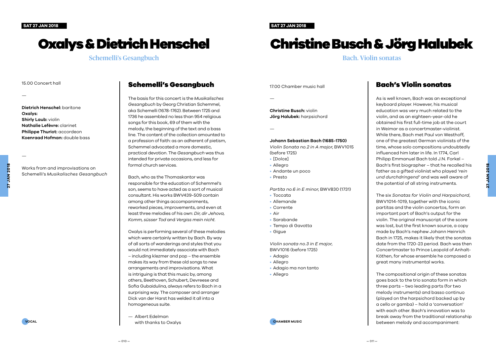# Oxalys & Dietrich Henschel

Schemelli's Gesangbuch

#### 15.00 Concert hall

—

**Dietrich Henschel:** baritone **Oxalys: Shirly Laub:** violin **Nathalie Lefèvre:** clarinet **Philippe Thuriot:** accordeon **Koenraad Hofman:** double bass

—

**27 JAN 2018**

**JAN 201** 

Works from and improvisations on Schemelli's *Musikalisches Gesangbuch* 

#### Schemelli's Gesangbuch

The basis for this concert is the *Musikalisches Gesangbuch* by Georg Christian Schemmel, aka Schemelli (1678-1762). Between 1725 and 1736 he assembled no less than 954 religious songs for this book, 69 of them with the melody, the beginning of the text and a bass line. The content of the collection amounted to a profession of faith: as an adherent of pietism, Schemmel advocated a more domestic, practical devotion. The *Gesangbuch* was thus intended for private occasions, and less for formal church services.

Bach, who as the Thomaskantor was responsible for the education of Schemmel's son, seems to have acted as a sort of musical consultant. His works BWV439-509 contain among other things accompaniments, reworked pieces, improvements, and even at least three melodies of his own: *Dir, dir Jehova, Komm, süsser Tod* and *Vergiss mein nicht*.

Oxalys is performing several of these melodies which were certainly written by Bach. By way of all sorts of wanderings and styles that you would not immediately associate with Bach – including klezmer and pop – the ensemble makes its way from these old songs to new arrangements and improvisations. What is intriguing is that this music by, among others, Beethoven, Schubert, Devreese and Sofia Gubaidulina, always refers to Bach in a surprising way. The composer and arranger Dick van der Harst has welded it all into a homogeneous suite.

— Albert Edelman with thanks to Oxalys **SAT 27 JAN 2018**

# Christine Busch & Jörg Halubek

Bach. Violin sonatas

17.00 Chamber music hall

—

**Christine Busch:** violin **Jörg Halubek:** harpsichord

—

#### **Johann Sebastian Bach (1685-1750)**

*Violin Sonata no.2 in A major*, BWV1015 (before 1725)

- [Dolce]
- Allegro
- Andante un poco
- Presto

*Partita no.6 in E minor*, BWV830 (1731)

- Toccata
- Allemande
- Corrente
- Air
- Sarabande
- Tempo di Gavotta
- Gigue

*Violin sonata no.3 in E major*, BWV1016 (before 1725)

- Adagio
- Allegro
- Adagio ma non tanto
- Allegro

**CHAMBER MUSIC**

#### Bach's Violin sonatas

As is well known, Bach was an exceptional keyboard player. However, his musical education was very much related to the violin, and as an eighteen-year-old he obtained his first full-time job at the court in Weimar as a concertmaster-violinist. While there, Bach met Paul von Westhoff, one of the greatest German violinists of the time, whose solo compositions undoubtedly influenced him later in life. In 1774, Carl Philipp Emmanuel Bach told J.N. Forkel – Bach's first biographer – that he recalled his father as a gifted violinist who played '*rein und durchdringend'* and was well aware of the potential of all string instruments.

The six *Sonatas for Violin and Harpsichord*, BWV1014-1019, together with the iconic partitas and the violin concertos, form an important part of Bach's output for the violin. The original manuscript of the score was lost, but the first known source, a copy made by Bach's nephew Johann Heinrich Bach in 1725, makes it likely that the sonatas date from the 1720-23 period. Bach was then Concertmaster to Prince Leopold of Anhalt-Köthen, for whose ensemble he composed a great many instrumental works.

The compositional origin of these sonatas goes back to the trio sonata form in which three parts – two leading parts (for two melody instruments) and basso continuo (played on the harpsichord backed up by a cello or gamba) – hold a 'conversation' with each other. Bach's innovation was to break away from the traditional relationship between melody and accompaniment: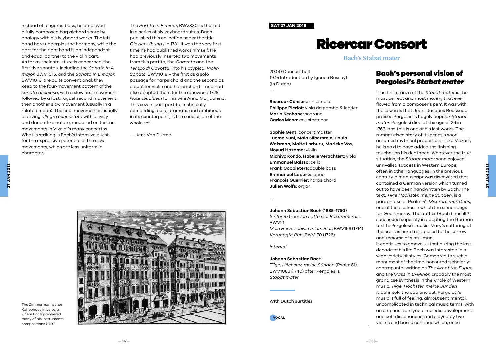instead of a figured bass, he employed a fully composed harpsichord score by analogy with his keyboard works. The left hand here underpins the harmony, while the part for the right hand is an independent and equal partner to the violin part. As far as their structure is concerned, the first five sonatas, including the *Sonata in A major*, BWV1015, and the *Sonata in E major*, BWV1016, are quite conventional: they keep to the four-movement pattern of the *sonata di chiesa*, with a slow first movement followed by a fast, fuguel second movement, then another slow movement (usually in a related mode). The final movement is usually a driving *allegro concertato* with a lively and dance-like nature, modelled on the fast movements in Vivaldi's many concertos. What is striking is Bach's intensive quest for the expressive potential of the slow movements, which are less uniform in character.

The *Partita in E minor*, BWV830, is the last in a series of six keyboard suites. Bach published this collection under the title *Clavier-Übung I* in 1731. It was the very first time he had published works himself. He had previously inserted two movements from this partita, the *Corrente* and the *Tempo di Gavotta*, into his atypical *Violin Sonata*, BWV1019 – the first as a solo passage for harpsichord and the second as a duet for violin and harpsichord – and had also adopted them for the renowned 1725 *Notenbüchlein* for his wife Anna Magdalena. This seven-part partita, technically demanding, bold, dramatic and ambitious in its counterpoint, is the conclusion of the whole set.

— Jens Van Durme



The Zimmermannsches Kaffeehaus in Leipzig, where Bach premiered many of his instrumental compositions (1720).

#### **SAT 27 JAN 2018**

20.00 Concert hall

(in Dutch) —

19.15 Introduction by Ignace Bossuyt

**Philippe Pierlot:** viola da gamba & leader

**Michiyo Kondo, Isabelle Verachtert:** viola

**Johann Sebastian Bach (1685-1750)** *Sinfonia* from *Ich hatte viel Bekümmernis*,

*Vergnügte Ruh*, BWV170 (1726)

**Johann Sebastian Bac**h

*Mein Herze schwimmt im Blut*, BWV199 (1714)

*Tilge, Höchster, meine Sünden* (Psalm 51), BWV1083 (1740) after Pergolesi's

**Ricercar Consort:** ensemble

**Sophie Gent:** concert master **Tuomo Suni, Maia Silberstein, Paula Waisman, Maite Larburu, Marieke Vos,** 

**Maria Keohane:** soprano **Carlos Mena:** countertenor

**Noyuri Hazama:** violin

**Emmanuel Balssa:** cello **Frank Coppieters:** double bass **Emmanuel Laporte:** oboe **François Guerrier:** harpsichord

**Julien Wolfs:** organ

—

BWV21

*interval* 

*Stabat mater*

**VOCAL**

With Dutch surtitles

# Ricercar Consort

Bach's Stabat mater

#### Bach's personal vision of Pergolesi's *Stabat mater*

'The first stanza of the *Stabat mater* is the most perfect and most moving that ever flowed from a composer's pen'. It was with these words that Jean-Jacques Rousseau praised Pergolesi's hugely popular *Stabat mater*. Pergolesi died at the age of 26 in 1763, and this is one of his last works. The romanticised story of its genesis soon assumed mythical proportions. Like Mozart, he is said to have added the finishing touches on his deathbed. Whatever the true situation, the *Stabat mater* soon enjoyed unrivalled success in Western Europe, often in other languages. In the previous century, a manuscript was discovered that contained a German version which turned out to have been handwritten by Bach. The text, *Tilge Höchster, meine Sünden*, is a paraphrase of Psalm 51, *Miserere mei, Deus*, one of the psalms in which the sinner begs for God's mercy. The author (Bach himself?) succeeded superbly in adapting the German text to Pergolesi's music: Mary's suffering at the cross is here transposed to the sorrow and remorse of sinful man.

**27 JAN 2018**

**JAN 2018** 

It continues to amaze us that during the last decade of his life Bach was interested in a wide variety of styles. Compared to such a monument of the time-honoured 'scholarly' contrapuntal writing as *The Art of the Fugue*, and the *Mass in B-Minor*, probably the most grandiose synthesis in the whole of Western music, *Tilge, Höchster, meine Sünden* is definitely the odd one out. Pergolesi's music is full of feeling, almost sentimental, uncomplicated in technical music terms, with an emphasis on lyrical melodic development and soft dissonances, and played by two violins and basso continuo which, once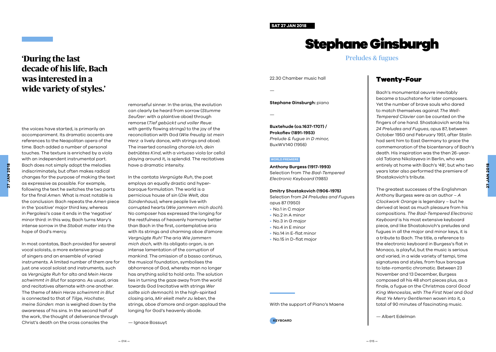#### **SAT 27 JAN 2018**

# Stephane Ginsburgh

#### Preludes & fugues

22.30 Chamber music hall

—

—

**Stephane Ginsburgh:** piano

**Buxtehude (ca.1637-1707) / Prokofiev (1891-1953)** *Prelude & fugue in D minor,* BuxWV140 (1956)

#### **WERELDPREMIÈRE WORLD PREMIERE**

**Anthony Burgess (1917-1993)** Selection from *The Bad-Tempered Electronic Keyboard* (1985)

#### **Dmitry Shostakovich (1906-1975)**

Selection from *24 Preludes and Fugue*s opus 87 (1950)

- No.1 in C major
- No.2 in A minor
- No.3 in G major
- No.4 in E minor
- No.14 in E-flat minor
- No.15 in D-flat major

#### With the support of Piano's Maene

#### **KEYBOARD**

#### Twenty-Four

Bach's monumental oeuvre inevitably became a touchstone for later composers. Yet the number of brave souls who dared to match themselves against *The Well-Tempered Clavier* can be counted on the fingers of one hand. Shostakovich wrote his *24 Preludes and Fugues*, opus 87, between October 1950 and February 1951, after Stalin had sent him to East Germany to grace the commemoration of the bicentenary of Bach's death. His inspiration was the then 26-yearold Tatiana Nikolayeva in Berlin, who was entirely at home with Bach's '48', but who two years later also performed the premiere of Shostakovich's tribute.

The greatest successes of the Englishman Anthony Burgess were as an author – *A Clockwork Orange* is legendary – but he derived at least as much pleasure from his compositions. *The Bad-Tempered Electronic Keyboard* is his most extensive keyboard piece, and like Shostakovich's preludes and fugues in all the major and minor keys, it is a tribute to Bach. The title, a reference to the electronic keyboard in Burgess's flat in Monaco, is playful, but the music is serious and varied, in a wide variety of tempi, time signatures and styles, from faux baroque to late-romantic chromatic. Between 23 November and 13 December, Burgess composed all his 48 short pieces plus, as a finale, a fugue on the Christmas carol *Good King Wenceslas*, with *The First Noel* and *God Rest Ye Merry Gentlemen* woven into it, a total of 90 minutes of fascinating music.

— Albert Edelman

### **'During the last decade of his life, Bach was interested in a wide variety of styles.'**

the voices have started, is primarily an accompaniment. Its dramatic accents are references to the Neapolitan opera of the time. Bach added a number of personal

touches. The texture is enriched by a viola with an independent instrumental part. Bach does not simply adopt the melodies indiscriminately, but often makes radical changes for the purpose of making the text as expressive as possible. For example, following the text he switches the two parts for the final *Amen*. What is most notable is the conclusion: Bach repeats the *Amen* piece in the 'positive' major third key, whereas in Pergolesi's case it ends in the 'negative' minor third: in this way, Bach turns Mary's intense sorrow in the *Stabat mater* into the hope of God's mercy.

In most cantatas, Bach provided for several vocal soloists, a more extensive group of singers and an ensemble of varied instruments. A limited number of them are for just one vocal soloist and instruments, such as *Vergnügte Ruh* for alto and *Mein Herze schwimmt in Blut* for soprano. As usual, arias and recitatives alternate with one another. The theme of *Mein Herze schwimmt in Blut* is connected to that of *Tilge, Hochster, meine Sünden*: man is weighed down by the awareness of his sins. In the second half of the work, the thought of deliverance through Christ's death on the cross consoles the

remorseful sinner. In the arias, the evolution can clearly be heard from sorrow (*Stumme Seufzer*: with a plaintive oboe) through remorse (*Tief gebückt und voller Reue*: with gently flowing strings) to the joy of the reconciliation with God (*Wie freudig ist mein Herz*: a lively dance, with strings and oboe). The inserted consoling chorale *Ich, dein betrübtes Kind*, with a virtuoso viola (or cello) playing around it, is splendid. The recitatives have a dramatic intensity.

In the cantata *Vergnügte Ruh*, the poet employs an equally drastic and hyperbaroque formulation. The world is a pernicious house of sin (*Die Welt, das Sündenhaus*), where people live with corrupted hearts (*Wie jammern mich doch*). No composer has expressed the longing for the restfulness of heavenly harmony better than Bach in the first, contemplative aria with its strings and charming oboe d'amore: *Vergnügte Ruh!* The aria *Wie jammern mich doch*, with its obligato organ, is an intense lamentation of the corruption of mankind. The omission of a basso continuo, the musical foundation, symbolises the abhorrence of God, whereby man no longer has anything solid to hold onto. The solution lies in turning the gaze away from the world towards God (recitative with strings *Wer sollte sich demnach*). In the high-spirited closing aria, *Mir ekelt mehr zu leben*, the strings, oboe d'amore and organ applaud the longing for God's heavenly abode.

— Ignace Bossuyt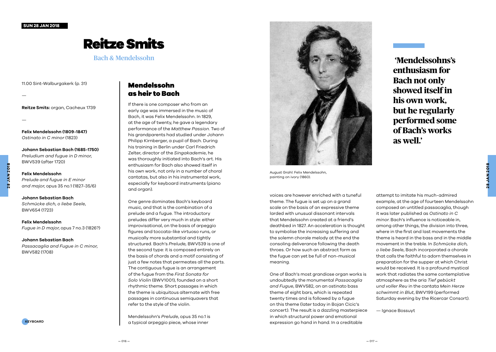#### **SUN 28 JAN 2018**

## Reitze Smits

#### Bach & Mendelssohn

11.00 Sint-Walburgakerk (p. 31)

—

**Reitze Smits:** organ, Cacheux 1739

—

**Felix Mendelssohn (1809-1847)** *Ostinato in C minor* (1823)

**Johann Sebastian Bach (1685-1750)** *Preludium and fugue in D minor*, BWV539 (after 1720)

*Prelude and fugue in E minor and major*, opus 35 no.1 (1827-35/6)

**Johann Sebastian Bach** 

**Felix Mendelssohn** 

*Schmücke dich, o liebe Seele*, BWV654 (1723)

**Felix Mendelssohn** *Fugue in D major*, opus 7 no.3 (1826?)

#### **Johann Sebastian Bach**

*Passacaglia and Fugue in C minor*, BWV582 (1708)

### Mendelssohn as heir to Bach

If there is one composer who from an early age was immersed in the music of Bach, it was Felix Mendelssohn. In 1829, at the age of twenty, he gave a legendary performance of the *Matthew Passion*. Two of his grandparents had studied under Johann Philipp Kirnberger, a pupil of Bach. During his training in Berlin under Carl Friedrich Zelter, director of the *Singakademie*, he was thoroughly initiated into Bach's art. His enthusiasm for Bach also showed itself in his own work, not only in a number of choral cantatas, but also in his instrumental work, especially for keyboard instruments (piano and organ).

One genre dominates Bach's keyboard music, and that is the combination of a prelude and a fugue. The introductory preludes differ very much in style: either improvisational, on the basis of arpeggio figures and toccata-like virtuoso runs, or musically more substantial and tightly structured. Bach's *Prelude,* BWV539 is one of the second type: it is composed entirely on the basis of chords and a motif consisting of just a few notes that permeates all the parts. The contiguous fugue is an arrangement of the fugue from the *First Sonata for Solo Violin* (BWV1001), founded on a short rhythmic theme. Short passages in which the theme is ubiquitous alternate with free passages in continuous semiquavers that refer to the style of the violin.

Mendelssohn's *Prelude*, opus 35 no.1 is a typical arpeggio piece, whose inner



August Grahl: Felix Mendelssohn, painting on ivory (1860).

voices are however enriched with a tuneful theme. The fugue is set up on a grand scale on the basis of an expressive theme larded with unusual dissonant intervals that Mendelssohn created at a friend's deathbed in 1827. An acceleration is thought to symbolise the increasing suffering and the solemn chorale melody at the end the consoling deliverance following the death throes. Or how such an abstract form as the fugue can yet be full of non-musical meaning.

One of Bach's most grandiose organ works is undoubtedly the monumental *Passacaglia and Fugue*, BWV582, on an ostinato bass theme of eight bars, which is repeated twenty times and is followed by a fugue on this theme (later today in Bojan Cicic's concert). The result is a dazzling masterpiece in which structural power and emotional expression go hand in hand. In a creditable

 **'Mendelssohns's enthusiasm for Bach not only showed itself in his own work, but he regularly performed some of Bach's works as well.'**

**28 JAN 2018**

**JAN 2018** 

attempt to imitate his much-admired example, at the age of fourteen Mendelssohn composed an untitled passacaglia, though it was later published as *Ostinato in C minor*. Bach's influence is noticeable in, among other things, the division into three, where in the first and last movements the theme is heard in the bass and in the middle movement in the treble. In *Schmücke dich, o liebe Seele*, Bach incorporated a chorale that calls the faithful to adorn themselves in preparation for the supper at which Christ would be received. It is a profound mystical work that radiates the same contemplative atmosphere as the aria *Tief gebückt und voller Reu* in the cantata *Mein Herze schwimmt in Blut*, BWV199 (performed Saturday evening by the Ricercar Consort).

— Ignace Bossuyt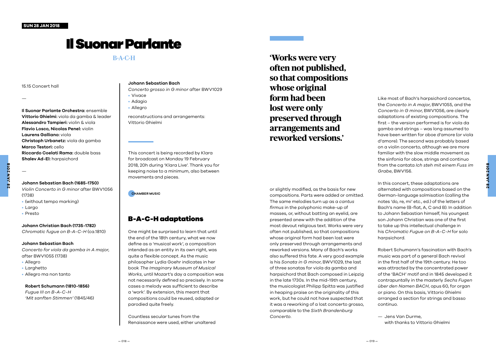# Il Suonar Parlante

#### 15.15 Concert hall

—

**Il Suonar Parlante Orchestra:** ensemble **Vittorio Ghielmi:** viola da gamba & leader **Alessandro Tampieri:** violin & viola **Flavio Losco, Nicolas Penel:** violin **Laurens Galliano:** viola **Christoph Urbanetz:** viola da gamba **Marco Testori:** cello **Riccardo Coelati Rama:** double bass **Shalev Ad-El:** harpsichord

#### **Johann Sebastian Bach (1685-1750)** *Violin Concerto in G minor* after BWV1056

(1738) • (without tempo marking)

• Largo

—

• Presto

#### **Johann Christian Bach (1735-1782)**

*Chromatic fugue on B-A-C-H* (ca.1810)

#### **Johann Sebastian Bach**

*Concerto for viola da gamba in A major*, after BWV1055 (1738)

- Allegro
- Larghetto
- Allegro ma non tanto

#### **Robert Schumann (1810-1856)**

*Fugue III on B-A-C-H 'Mit sanften Stimmen'* (1845/46)

#### **Johann Sebastian Bach**

*Concerto grosso in G minor* after BWV1029 • Vivace

- Adagio
- Allegro

reconstructions and arrangements: Vittorio Ghielmi

This concert is being recorded by Klara for broadcast on Monday 19 February 2018, 20h during 'Klara Live'. Thank you for keeping noise to a minimum, also between movements and pieces.

**CHAMBER MUSIC**

### B-A-C-H adaptations

One might be surprised to learn that until the end of the 18th century, what we now define as a 'musical work', a composition intended as an entity in its own right, was quite a flexible concept. As the music philosopher Lydia Goehr indicates in her book *The Imaginary Museum of Musical Works*, until Mozart's day a composition was not necessarily defined so precisely. In some cases a melody was sufficient to describe a 'work'. By extension, this meant that compositions could be reused, adapted or parodied quite freely.

Countless secular tunes from the Renaissance were used, either unaltered

B-A-C-H **'Works were very often not published, so that compositions whose original form had been lost were only preserved through arrangements and reworked versions.'**

> or slightly modified, as the basis for new compositions. Parts were added or omitted. The same melodies turn up as a *cantus firmus* in the polyphonic make-up of masses, or, without batting an eyelid, are presented anew with the addition of the most devout religious text. Works were very often not published, so that compositions whose original form had been lost were only preserved through arrangements and reworked versions. Many of Bach's works also suffered this fate. A very good example is his *Sonata in G minor*, BWV1029, the last of three sonatas for viola da gamba and harpsichord that Bach composed in Leipzig in the late 1730s. In the mid-19th century, the musicologist Philipp Spitta was justified in heaping praise on the originality of this work, but he could not have suspected that it was a reworking of a lost concerto grosso, comparable to the *Sixth Brandenburg Concerto*.

Like most of Bach's harpsichord concertos, the *Concerto in A major*, BWV1055, and the *Concerto in G minor*, BWV1056, are clearly adaptations of existing compositions. The first – the version performed is for viola da gamba and strings – was long assumed to have been written for oboe d'amore (or viola d'amore). The second was probably based on a violin concerto, although we are more familiar with the slow middle movement as the sinfonia for oboe, strings and continuo from the cantata *Ich steh mit einem Fuss im Grabe*, BWV156.

In this concert, these adaptations are alternated with compositions based on the German-language solmisation (calling the notes 'do, re, mi' etc., ed.) of the letters of Bach's name (B-flat, A, C and B). In addition to Johann Sebastian himself, his youngest son Johann Christian was one of the first to take up this intellectual challenge in his *Chromatic Fugue on B-A-C-H* for solo harpsichord

Robert Schumann's fascination with Bach's music was part of a general Bach revival in the first half of the 19th century. He too was attracted by the concentrated power of the 'BACH' motif and in 1845 developed it contrapuntally in the masterly *Sechs Fugen über den Namen BACH*, opus 60, for organ or piano. On this basis, Vittorio Ghielmi arranged a section for strings and basso continuo.

— Jens Van Durme, with thanks to Vittorio Ghielmi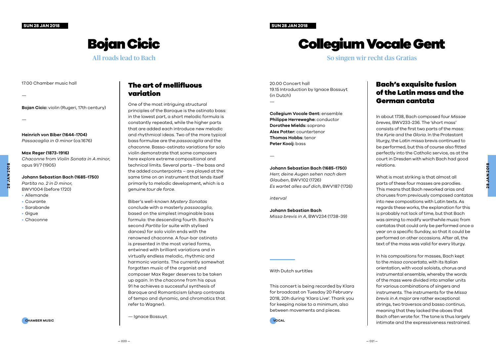#### **SUN 28 JAN 2018**

**SUN 28 JAN 2018**

# Collegium Vocale Gent

So singen wir recht das Gratias

Bojan Cicic

### All roads lead to Bach

#### 17.00 Chamber music hall

—

**Bojan Cicic:** violin (Rugeri, 17th century)

**Heinrich von Biber (1644-1704)** *Passacaglia in G minor* (ca.1676)

#### **Max Reger (1873-1916)**

*Chaconne* from *Violin Sonata in A minor*, opus 91/7 (1905)

*Partita no. 2 in D minor*,

**Johann Sebastian Bach (1685-1750)**

- BWV1004 (before 1720)
- Allemande
- Courante
- Sarabande
- Gigue
- Chaconne

#### The art of mellifluous variation

One of the most intriguing structural principles of the Baroque is the ostinato bass: in the lowest part, a short melodic formula is constantly repeated, while the higher parts that are added each introduce new melodic and rhythmical ideas. Two of the more typical bass formulae are the *passacaglia* and the *chaconne*. Basso-ostinato variations for solo violin demonstrate that some composers here explore extreme compositional and technical limits. Several parts – the bass and the added counterpoints – are played at the same time on an instrument that lends itself primarily to melodic development, which is a genuine *tour de force*.

Biber's well-known *Mystery Sonatas* conclude with a masterly *passacaglia*, based on the simplest imaginable bass formula: the descending fourth. Bach's second *Partita* (or suite with stylised dances) for solo violin ends with the renowned chaconne. A four-bar ostinato is presented in the most varied forms, entwined with brilliant variations and in virtually endless melodic, rhythmic and harmonic variants. The currently somewhat forgotten music of the organist and composer Max Reger deserves to be taken up again. In the *chaconne* from his opus 91 he achieves a successful synthesis of Baroque and Romanticism (sharp contrasts of tempo and dynamic, and chromatics that refer to Wagner).

— Ignace Bossuyt

20.00 Concert hall 19.15 Introduction by Ignace Bossuyt (in Dutch)

**Collegium Vocale Gent:** ensemble **Philippe Herreweghe:** conductor **Dorothee Mields:** soprano **Alex Potter:** countertenor **Thomas Hobbs:** tenor **Peter Kooij:** bass

—

#### **Johann Sebastian Bach (1685-1750)**

*Herr, deine Augen sehen nach dem Glauben*, BWV102 (1726) *Es wartet alles auf dich*, BWV187 (1726)

*interval* 

**Johann Sebastian Bach** *Missa brevis in A*, BWV234 (1738-39)

#### With Dutch surtitles

This concert is being recorded by Klara for broadcast on Tuesday 20 February 2018, 20h during 'Klara Live'. Thank you for keeping noise to a minimum, also between movements and pieces.

**CHAMBER MUSIC VOCAL**

#### Bach's exquisite fusion of the Latin mass and the German cantata

In about 1738, Bach composed four *Missae breves*, BWV233-236. The 'short mass' consists of the first two parts of the mass: the *Kyrie* and the *Gloria*. In the Protestant liturgy, the Latin missa brevis continued to be performed, but this of course also fitted perfectly into the Catholic service, as at the court in Dresden with which Bach had good relations.

What is most striking is that almost all parts of these four masses are parodies. This means that Bach reworked arias and choruses from previously composed cantatas into new compositions with Latin texts. As regards these works, the explanation for this is probably not lack of time, but that Bach was aiming to modify worthwhile music from cantatas that could only be performed once a year on a specific Sunday, so that it could be performed on other occasions. After all, the text of the mass was valid for every liturgy.

In his compositions for masses, Bach kept to the *missa concertata*, with its Italian orientation, with vocal soloists, chorus and instrumental ensemble, whereby the words of the mass were divided into smaller units for various combinations of singers and instruments. The instruments for the *Missa brevis in A major* are rather exceptional: strings, two traversos and basso continuo, meaning that they lacked the oboes that Bach often wrote for. The tone is thus largely intimate and the expressiveness restrained.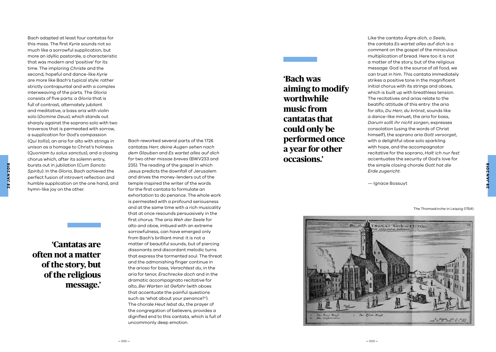Bach adapted at least four cantatas for this mass. The first *Kyrie* sounds not so much like a sorrowful supplication, but more an idyllic pastorale, a characteristic that was modern and 'positive' for its time. The imploring *Christe* and the second, hopeful and dance-like *Kyrie* are more like Bach's typical style: rather strictly contrapuntal and with a complex interweaving of the parts. The *Gloria* consists of five parts: a *Gloria* that is full of contrast, alternately jubilant and meditative, a bass aria with violin solo (*Domine Deus*), which stands out sharply against the soprano solo with two traversos that is permeated with sorrow, a supplication for God's compassion (*Qui tollis*), an aria for alto with strings in unison as a homage to Christ's holiness (*Quoniam tu solus sanctus*), and a closing chorus which, after its solemn entry, bursts out in jubilation (*Cum Sancto Spiritu*). In the *Gloria*, Bach achieved the perfect fusion of introvert reflection and humble supplication on the one hand, and hymn-like joy on the other.

**28 JAN 2018**

28 JAN 201

**'Cantatas are often not a matter of the story, but of the religious message.'**

**—** 022 **—**

Bach reworked several parts of the 1726 cantatas *Herr, deine Augen sehen nach dem Glauben* and *Es wartet alles auf dich* for two other *missae breves* (BWV233 and 235). The reading of the gospel in which Jesus predicts the downfall of Jerusalem and drives the money-lenders out of the temple inspired the writer of the words for the first cantata to formulate an exhortation to do penance. The whole work is permeated with a profound seriousness and at the same time with a rich musicality that at once resounds persuasively in the first chorus. The aria *Weh der Seele* for alto and oboe, imbued with an extreme sorrowfulness, can have emerged only from Bach's brilliant mind: it is not a matter of beautiful sounds, but of piercing dissonants and discordant melodic turns that express the tormented soul. The threat and the admonishing finger continue in the arioso for bass, *Verachtest du*, in the aria for tenor, *Erschrecke doch* and in the dramatic accompagnato recitative for alto, *Bei Warten ist Gefahr* (with oboes that accentuate the painful questions such as 'what about your penance?'). The chorale *Heut lebst du*, the prayer of the congregation of believers, provides a dignified end to this cantata, which is full of uncommonly deep emotion.

**'Bach was aiming to modify worthwhile music from cantatas that could only be performed once a year for other occasions.'**

Like the cantata *Ärgre dich, o Seele*, the cantata *Es wartet alles auf dich* is a comment on the gospel of the miraculous multiplication of bread. Here too it is not a matter of the story, but of the religious message: God is the source of all food, we can trust in him. This cantata immediately strikes a positive tone in the magnificent initial chorus with its strings and oboes, which is built up with breathless tension. The recitatives and arias relate to the beatific attitude of this entry: the aria for alto, *Du Herr, du krönst*, sounds like a dance-like minuet, the aria for bass, *Darum sollt ihr nicht sorgen*, expresses consolation (using the words of Christ himself), the soprano aria *Gott versorget*, with a delightful oboe solo sparkling with hope, and the accompagnator recitative for the soprano, *Halt ich nur fest* accentuates the security of God's love for the simple closing chorale *Gott hat die Erde zugericht* .

— Ignace Bossuyt

The Thomaskirche in Leipzig (1754).

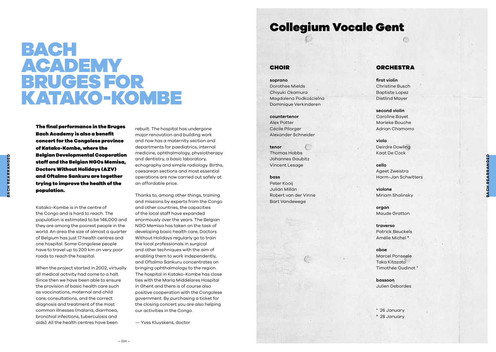# BACH ACADEMY BRUGES FOR KATAKO-KOMBE

The final performance in the Bruges Bach Academy is also a benefit concert for the Congolese province of Katako-Kombe, where the Belgian Developmental Cooperation staff and the Belgian NGOs Memisa, Doctors Without Holidays (AZV) and Oftalmo Sankuru are together trying to improve the health of the population.

Katako-Kombe is in the centre of the Congo and is hard to reach. The population is estimated to be 146,000 and they are among the poorest people in the world. An area the size of almost a quarter of Belgium has just 17 health centres and one hospital. Some Congolese people have to travel up to 200 km on very poor roads to reach the hospital.

When the project started in 2002, virtually all medical activity had come to a halt. Since then we have been able to ensure the provision of basic health care such as vaccinations, maternal and child care, consultations, and the correct diagnosis and treatment of the most common illnesses (malaria, diarrhoea, bronchial infections, tuberculosis and aids). All the health centres have been

rebuilt. The hospital has undergone major renovation and building work and now has a maternity section and departments for paediatrics, internal medicine, ophthalmology, physiotherapy and dentistry, a basic laboratory, echography and simple radiology. Births, caesarean sections and most essential operations are now carried out safely at an affordable price.

Thanks to, among other things, training and missions by experts from the Congo and other countries, the capacities of the local staff have expanded enormously over the years. The Belgian NGO Memisa has taken on the task of developing basic health care, Doctors Without Holidays regularly go to train the local professionals in surgical and other techniques with the aim of enabling them to work independently, and Oftalmo Sankuru concentrates on bringing ophthalmology to the region. The hospital in Katako-Kombe has close ties with the Maria Middelares Hospital in Ghent and there is of course also positive cooperation with the Congolese government. By purchasing a ticket for the closing concert you are also helping our activities in the Congo.

— Yves Kluyskens, doctor

### Collegium Vocale Gent

#### CHOIR

**soprano** Dorothee Mields Chiyuki Okamura Magdalena Podkościelna Dominique Verkinderen

#### **countertenor**

Alex Potter Cécile Pilorger Alexander Schneider

#### **tenor** Thomas Hobbs Johannes Gaubitz

Vincent Lesage

#### **bass** Peter Kooij Julián Millán

Robert van der Vinne Bart Vandewege

#### **ORCHESTRA**

**first violin** Christine Busch Baptiste Lopez Dietlind Mayer

**second violin** Caroline Bayet Marieke Bouche Adrian Chamorro

**viola** Deirdre Dowling Kaat De Cock

**cello** Ageet Zweistra Harm-Jan Schwitters **SACH REARRANGED BACH REARRANGED**

**violone** Miriam Shalinsky

**organ**  Maude Gratton

**traverso** Patrick Beuckels Amélie Michel \*

**oboe** Marcel Ponseele Taka Kitazato Timothée Oudinot °

**bassoon** Julien Debordes

° 26 January \* 28 January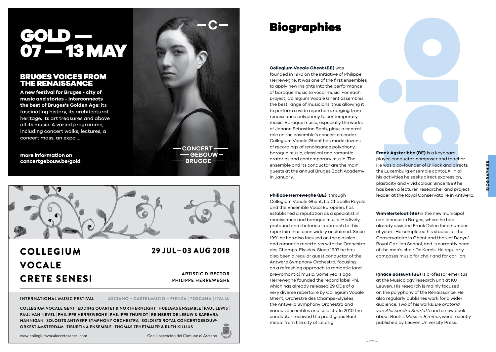# GOLD — 07 — 13 MAY

#### BRUGES VOICES FROM THE RENAISSANCE

**A new festival for Bruges - city of music and stories - interconnects the best of Bruges's Golden Age:** its fascinating history, its architectural heritage, its art treasures and above all its music. A varied programme, including concert walks, lectures, a concert mass, an expo …

**more information on concertgebouw.be/gold**





## **COLLEGIUM VOCALE CRETE SENESI**

### **29 JUL – 03 AUG 2018**

**ARTISTIC DIRECTOR PHILIPPE HERREWEGHE**

**INTERNATIONAL MUSIC FESTIVAL ASCIANO – CASTELMUZIO – PIENZA | TOSCANA | ITALIA**

**COLLEGIUM VOCALE GENT | EDDING QUARTET & NORTHERNLIGHT | HUELGAS ENSEMBLE | PAUL LEWIS | PAUL VAN NEVEL | PHILIPPE HERREWEGHE | PHILIPPE THURIOT | REINBERT DE LEEUW & BARBARA HANNIGAN | SOLOISTS ANTWERP SYMPHONY ORCHESTRA | SOLOISTS ROYAL CONCERTGEBOUW-ORKEST AMSTERDAM | TIBURTINA ENSEMBLE | THOMAS ZEHETMAIER & RUTH KILLIUS**

# Biographies

#### **Collegium Vocale Ghent (BE)** was

founded in 1970 on the initiative of Philippe Herreweghe. It was one of the first ensembles to apply new insights into the performance of baroque music to vocal music. For each project, Collegium Vocale Ghent assembles the best range of musicians, thus allowing it to perform a wide repertoire, ranging from renaissance polyphony to contemporary music. Baroque music, especially the works of Johann Sebastian Bach, plays a central role on the ensemble's concert calendar. Collegium Vocale Ghent has made dozens of recordings of renaissance polyphony, baroque music, classical and romantic oratorios and contemporary music. The ensemble and its conductor are the main guests at the annual Bruges Bach Academy in January.

#### **Philippe Herreweghe (BE)**, through

Collegium Vocale Ghent, La Chapelle Royale and the Ensemble Vocal Européen, has established a reputation as a specialist in renaissance and baroque music. His lively, profound and rhetorical approach to this repertoire has been widely acclaimed. Since 1991 he has also focused on the classical and romantic repertoires with the Orchestre des Champs-Elysées. Since 1997 he has also been a regular guest conductor of the Antwerp Symphony Orchestra, focusing on a refreshing approach to romantic (and pre-romantic) music. Some years ago Herreweghe founded the record label Phi, which has already released 29 CDs of a very diverse repertoire by Collegium Vocale Ghent, Orchestre des Champs-Elysées, the Antwerp Symphony Orchestra and various ensembles and soloists. In 2010 the conductor received the prestigious Bach medal from the city of Leipzig.

**Frank Agsteribbe (BE)** is a keyboard player, conductor, composer and teacher. He was a co-founder of B'Rock and directs the Luxemburg ensemble cantoLX. In all his activities he seeks direct expression, plasticity and vivid colour. Since 1989 he has been a lecturer, researcher and project leader at the Royal Conservatoire in Antwerp.

**Wim Berteloot (BE)** is the new municipal carillonneur in Bruges, where he had already assisted Frank Deleu for a number of years. He completed his studies at the Conservatoire in Ghent and the 'Jef Denyn' Royal Carillon School, and is currently head of the men's choir De Kerels. He regularly composes music for choir and for carillon.

**Ignace Bossuyt (BE)** is professor emeritus at the Musicology research unit at KU Leuven. His research is mainly focused on the polyphony of the Renaissance. He also regularly publishes work for a wider audience. Two of his works, *De oratoria van Alessandro Scarlatti* and a new book about Bach's *Mass in B minor*, were recently published by Leuven University Press.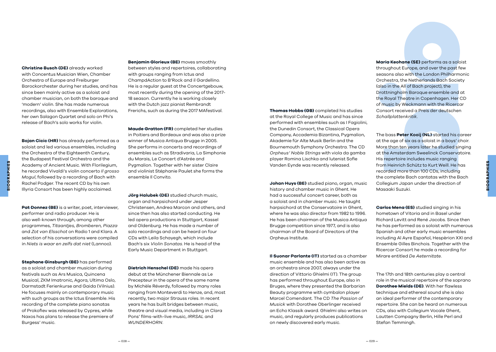the Orchestra of the Eighteenth Century, the Budapest Festival Orchestra and the **SIOGRAPHIES BIOGRAPHIES** Academy of Ancient Music. With Florilegium, he recorded Vivaldi's violin concerto *Il grosso Mogul*, followed by a recording of Bach with Rachel Podger. The recent CD by his own Illyria Consort has been highly acclaimed.

> Pat Donnez (BE) is a writer, poet, interviewer, performer and radio producer. He is also well-known through, among other programmes, *Titaantjes, Bromberen, Piazza*  and *Zot van Elsschot* on Radio 1 and Klara. A selection of his conversations were compiled in *Niets is waar en zelfs dat niet* (Lannoo).

**Bojan Cicic (HR)** has already performed as a soloist and led various ensembles, including

**Christine Busch (DE)** already worked with Concentus Musician Wien, Chamber Orchestra of Europe and Freiburger Barockorchester during her studies, and has since been mainly active as a soloist and chamber musician, on both the baroque and 'modern' violin. She has made numerous recordings, also with Ensemble Explorations, her own Salagon Quartet and solo on Phi's release of Bach's solo works for violin.

**Stephane Ginsburgh (BE)** has performed as a soloist and chamber musician during festivals such as Ars Musica, Quincena Musical, ZKM Imatronic, Agora, Ultima Oslo, Darmstadt Ferienkurse and Gaida (Vilnius). He focuses mainly on contemporary music with such groups as the Ictus Ensemble. His recording of the complete piano sonatas of Prokofiev was released by Cypres, while Naxos has plans to release the premiere of Burgess' music.

**Benjamin Glorieux (BE)** moves smoothly between styles and repertoires, collaborating with groups ranging from Ictus and ChampdAction to B'Rock and il Gardellino. He is a regular guest at the Concertgebouw, most recently during the opening of the 2017- 18 season. Currently he is working closely with the Dutch jazz pianist Rembrandt Frerichs, such as during the 2017 MAfestival.

**Maude Gratton (FR)** completed her studies in Poitiers and Bordeaux and was also a prize winner of Musica Antiqua Brugge in 2005. She performs in concerts and recordings of ensembles such as Stradivaria, La Simphonie du Marais, Le Concert d'Astrée and Pygmalion. Together with her sister Claire and violinist Stéphanie Paulet she forms the ensemble Il Convito.

**Jörg Halubek (DE)** studied church music, organ and harpsichord under Jesper Christensen, Andrea Marcon and others, and since then has also started conducting. He led opera productions in Stuttgart, Kassel and Oldenburg. He has made a number of solo recordings and can be heard on four CDs with Leila Schayegh, which include Bach's six *Violin Sonatas*. He is head of the Early Music Department in Stuttgart.

**Dietrich Henschel (DE)** made his opera debut at the Münchener Biennale as Le Precepteur in the opera of the same name by Michèle Réverdy, followed by many roles ranging from Monteverdi to Henze, and, most recently, two major Strauss roles. In recent years he has built bridges between music, theatre and visual media, including in Clara Pons' films-with-live music, *IRRSAL* and *WUNDERHORN*.

**Thomas Hobbs (GB)** completed his studies at the Royal College of Music and has since performed with ensembles such as I Fagiolini, the Dunedin Consort, the Classical Opera Company, Accademia Bizantina, Pygmalion, Akademie für Alte Musik Berlin and the Bournemouth Symphony Orchestra. The CD *Orpheus' Noble Strings* with viola da gamba player Romina Lischka and lutenist Sofie Vanden Eynde was recently released.

**Johan Huys (BE)** studied piano, organ, music history and chamber music in Ghent. He had a successful concert career, both as a soloist and in chamber music. He taught harpsichord at the Conservatoire in Ghent, where he was also director from 1982 to 1996. He has been chairman of the Musica Antiqua Brugge competition since 1977, and is also chairman of the Board of Directors of the Orpheus Institute.

**Il Suonar Parlante (IT)** started as a chamber music ensemble and has also been active as an orchestra since 2007, always under the direction of Vittorio Ghielmi (IT). The group has performed throughout Europe, also in Bruges, where they presented the Barbarian Beauty programme with cymbalon player Marcel Comendant. The CD *The Passion of Musick* with Dorothee Oberlinger received an Echo Klassik award. Ghielmi also writes on music, and regularly produces publications on newly discovered early music.

**Maria Keohane (SE)** performs as a soloist throughout Europe, and over the past few seasons also with the London Philharmonic Orchestra, the Netherlands Bach Society (also in the All of Bach project), the Drottningholm Baroque ensemble and at the Royal Theatre in Copenhagen. Her CD of music by Weckmann with the Ricercar Consort received a Preis der deutschen *Schallplattenkritik*.

The bass **Peter Kooij (NL)** started his career at the age of six as a soloist in a boys' choir. More than ten years later he studied singing at the Amsterdam Sweelinck Conservatoire. His repertoire includes music ranging from Heinrich Schütz to Kurt Weill. He has recorded more than 100 CDs, including the complete Bach cantatas with the Bach Collegium Japan under the direction of Masaaki Suzuki.

**Carlos Mena (ES)** studied singing in his hometown of Vitoria and in Basel under Richard Levitt and René Jacobs. Since then he has performed as a soloist with numerous Spanish and other early music ensembles including Al Ayre Español, Hespèrion XXI and Ensemble Gilles Binchois. Together with the Ricercar Consort he made a recording for Mirare entitled *De Aeternitate*.

The 17th and 18th centuries play a central role in the musical repertoire of the soprano **Dorothee Mields (DE)**. With her flawless technique and ethereal sound she is also an ideal performer of the contemporary repertoire. She can be heard on numerous CDs, also with Collegium Vocale Ghent, Lautten Compagny Berlin, Hille Perl and Stefan Temmingh.

**BIOGRAPHIES**

**BIOGRAPHIES** 

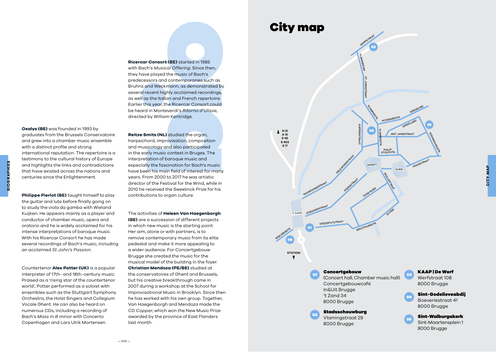SPIEGELREI

HOOGSTRAAT

BOOMGAARDSTR.

KAAP | De Werf Werfstraat 108 8000 Brugge

 $^{\circ}$ 

่งเ

Sint-Godelieveabdij Boeveriestraat 41 8000 Brugge

Sint-Walburgakerk Sint-Maartensplein 1 8000 Brugge

### City map



**Ricercar Consort (BE)** started in 1985 with Bach's *Musical Offering*. Since then, they have played the music of Bach's predecessors and contemporaries such as Bruhns and Weckmann, as demonstrated by several recent highly acclaimed recordings, as well as the Italian and French repertoire. Earlier this year, the Ricercar Consort could be heard in Monteverdi's *Ritorno d'Ulisse*, directed by William Kentridge.

**Oxalys (BE)** was founded in 1993 by graduates from the Brussels Conservatoire and grew into a chamber music ensemble with a distinct profile and strong international reputation. The repertoire is a testimony to the cultural history of Europe and highlights the links and contradictions that have existed across the nations and centuries since the Enlightenment.

**BIOGRAPHIES**

**BIOGRAPHIES** 

**Philippe Pierlot (BE)** taught himself to play the guitar and lute before finally going on to study the viola da gamba with Wieland Kuijken. He appears mainly as a player and conductor of chamber music, opera and oratorio and he is widely acclaimed for his intense interpretations of baroque music. With his Ricercar Consort he has made several recordings of Bach's music, including an acclaimed *St John's Passion*.

Countertenor **Alex Potter (UK)** is a popular interpreter of 17th- and 18th-century music. Praised as a 'rising star of the countertenor world', Potter performed as a soloist with ensembles such as the Stuttgart Symphony Orchestra, the Holst Singers and Collegium Vocale Ghent. He can also be heard on numerous CDs, including a recording of Bach's *Mass in B minor* with Concerto Copenhagen and Lars Ulrik Mortensen.

**Reitze Smits (NL)** studied the organ, harpsichord, improvisation, composition and musicology and also participated in the early music contest in Bruges. The interpretation of baroque music and especially the fascination for Bach's music have been his main field of interest for many years. From 2000 to 2017 he was artistic director of the Festival for the Wind, while in 2010 he received the Sweelinck Prize for his contributions to organ culture.

The activities of **Heleen Van Haegenborgh (BE)** are a succession of different projects in which new music is the starting point. Her aim, alone or with partners, is to remove contemporary music from its elite pedestal and make it more appealing to a wider audience. For Concertgebouw Brugge she created the music for the musical model of the building in the foyer. **Christian Mendoza (PE/BE)** studied at the conservatoires of Ghent and Brussels, but his creative breakthrough came in 2007 during a workshop at the School for Improvisational Music in Brooklyn. Since then he has worked with his own group. Together, Van Haegenborgh and Mendoza made the CD *Copper*, which won the New Music Prize awarded by the province of East Flanders last month.